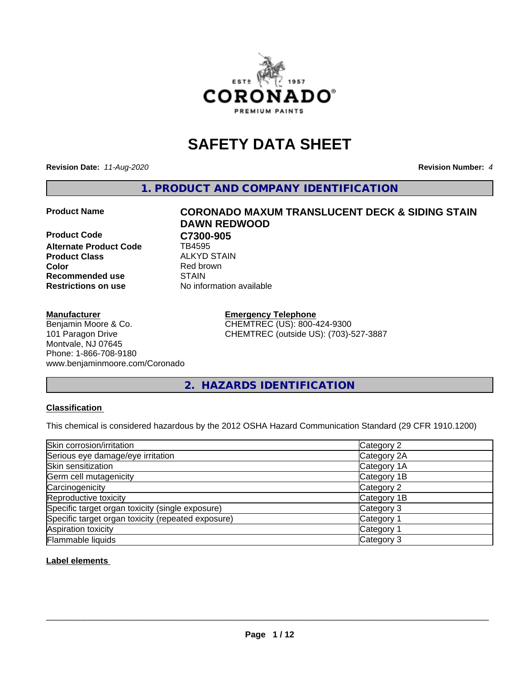

## **SAFETY DATA SHEET**

**Revision Date:** *11-Aug-2020* **Revision Number:** *4*

**1. PRODUCT AND COMPANY IDENTIFICATION**

**Product Code C7300-905**<br>Alternate Product Code **CD** TB4595 **Alternate Product Code Product Class** ALKYD STAIN<br> **Color** Red brown **Recommended use STAIN Restrictions on use** No information available

#### **Manufacturer**

Benjamin Moore & Co. 101 Paragon Drive Montvale, NJ 07645 Phone: 1-866-708-9180 www.benjaminmoore.com/Coronado

# **Product Name CORONADO MAXUM TRANSLUCENT DECK & SIDING STAIN DAWN REDWOOD Red brown**

**Emergency Telephone** CHEMTREC (US): 800-424-9300 CHEMTREC (outside US): (703)-527-3887

**2. HAZARDS IDENTIFICATION**

#### **Classification**

This chemical is considered hazardous by the 2012 OSHA Hazard Communication Standard (29 CFR 1910.1200)

| Skin corrosion/irritation                          | Category 2            |
|----------------------------------------------------|-----------------------|
| Serious eye damage/eye irritation                  | Category 2A           |
| Skin sensitization                                 | Category 1A           |
| Germ cell mutagenicity                             | Category 1B           |
| Carcinogenicity                                    | Category 2            |
| Reproductive toxicity                              | Category 1B           |
| Specific target organ toxicity (single exposure)   | Category 3            |
| Specific target organ toxicity (repeated exposure) | Category <sup>-</sup> |
| Aspiration toxicity                                | Category 1            |
| Flammable liquids                                  | Category 3            |

**Label elements**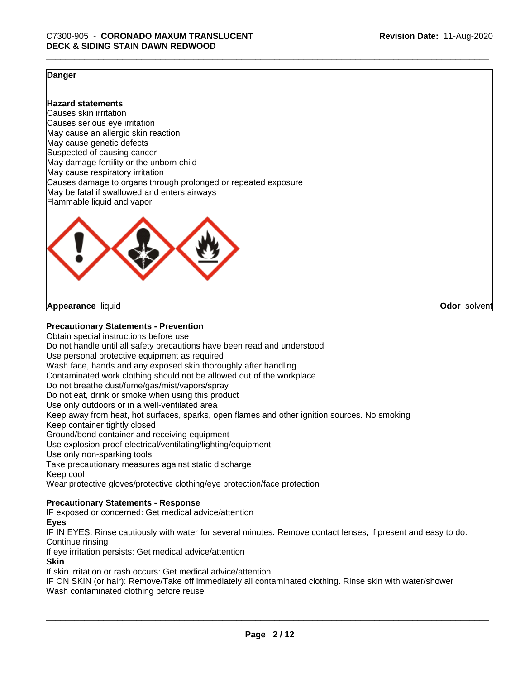**Odor** solvent

#### **Danger**

**Hazard statements**

Causes skin irritation Causes serious eye irritation May cause an allergic skin reaction May cause genetic defects Suspected of causing cancer May damage fertility or the unborn child May cause respiratory irritation Causes damage to organs through prolonged or repeated exposure May be fatal if swallowed and enters airways Flammable liquid and vapor



**Appearance** liquid

#### **Precautionary Statements - Prevention**

Obtain special instructions before use Do not handle until all safety precautions have been read and understood Use personal protective equipment as required Wash face, hands and any exposed skin thoroughly after handling Contaminated work clothing should not be allowed out of the workplace Do not breathe dust/fume/gas/mist/vapors/spray Do not eat, drink or smoke when using this product Use only outdoors or in a well-ventilated area Keep away from heat, hot surfaces, sparks, open flames and other ignition sources. No smoking Keep container tightly closed Ground/bond container and receiving equipment Use explosion-proof electrical/ventilating/lighting/equipment Use only non-sparking tools Take precautionary measures against static discharge Keep cool Wear protective gloves/protective clothing/eye protection/face protection

#### **Precautionary Statements - Response**

IF exposed or concerned: Get medical advice/attention

#### **Eyes**

IF IN EYES: Rinse cautiously with water for several minutes. Remove contact lenses, if present and easy to do. Continue rinsing

If eye irritation persists: Get medical advice/attention

#### **Skin**

If skin irritation or rash occurs: Get medical advice/attention

IF ON SKIN (or hair): Remove/Take off immediately all contaminated clothing. Rinse skin with water/shower Wash contaminated clothing before reuse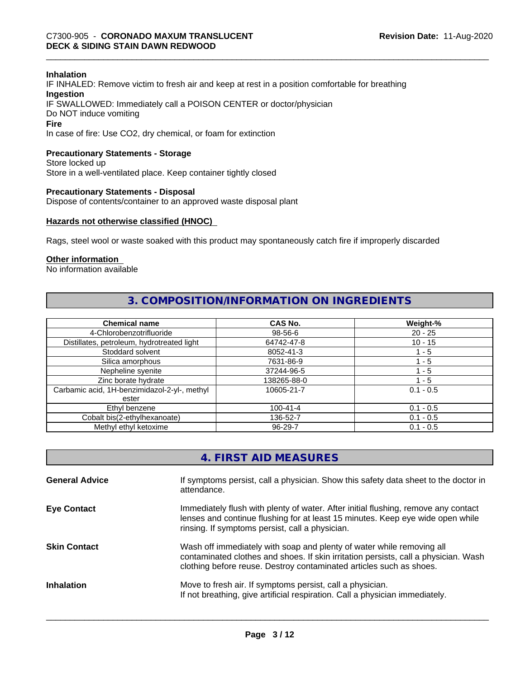#### **Inhalation**

IF INHALED: Remove victim to fresh air and keep at rest in a position comfortable for breathing **Ingestion** IF SWALLOWED: Immediately call a POISON CENTER or doctor/physician Do NOT induce vomiting **Fire**

In case of fire: Use CO2, dry chemical, or foam for extinction

#### **Precautionary Statements - Storage**

Store locked up Store in a well-ventilated place. Keep container tightly closed

#### **Precautionary Statements - Disposal**

Dispose of contents/container to an approved waste disposal plant

#### **Hazards not otherwise classified (HNOC)**

Rags, steel wool or waste soaked with this product may spontaneously catch fire if improperly discarded

#### **Other information**

No information available

#### **3. COMPOSITION/INFORMATION ON INGREDIENTS**

| <b>Chemical name</b>                         | CAS No.        | Weight-%    |
|----------------------------------------------|----------------|-------------|
| 4-Chlorobenzotrifluoride                     | 98-56-6        | $20 - 25$   |
| Distillates, petroleum, hydrotreated light   | 64742-47-8     | $10 - 15$   |
| Stoddard solvent                             | 8052-41-3      | 1 - 5       |
| Silica amorphous                             | 7631-86-9      | 1 - 5       |
| Nepheline syenite                            | 37244-96-5     | ' - 5       |
| Zinc borate hydrate                          | 138265-88-0    | 1 - 5       |
| Carbamic acid, 1H-benzimidazol-2-yl-, methyl | 10605-21-7     | $0.1 - 0.5$ |
| ester                                        |                |             |
| Ethyl benzene                                | $100 - 41 - 4$ | $0.1 - 0.5$ |
| Cobalt bis(2-ethylhexanoate)                 | 136-52-7       | $0.1 - 0.5$ |
| Methyl ethyl ketoxime                        | 96-29-7        | $0.1 - 0.5$ |

| 4. FIRST AID MEASURES |  |
|-----------------------|--|
|-----------------------|--|

| <b>General Advice</b> | If symptoms persist, call a physician. Show this safety data sheet to the doctor in<br>attendance.                                                                                                                                  |
|-----------------------|-------------------------------------------------------------------------------------------------------------------------------------------------------------------------------------------------------------------------------------|
| <b>Eye Contact</b>    | Immediately flush with plenty of water. After initial flushing, remove any contact<br>lenses and continue flushing for at least 15 minutes. Keep eye wide open while<br>rinsing. If symptoms persist, call a physician.             |
| <b>Skin Contact</b>   | Wash off immediately with soap and plenty of water while removing all<br>contaminated clothes and shoes. If skin irritation persists, call a physician. Wash<br>clothing before reuse. Destroy contaminated articles such as shoes. |
| <b>Inhalation</b>     | Move to fresh air. If symptoms persist, call a physician.<br>If not breathing, give artificial respiration. Call a physician immediately.                                                                                           |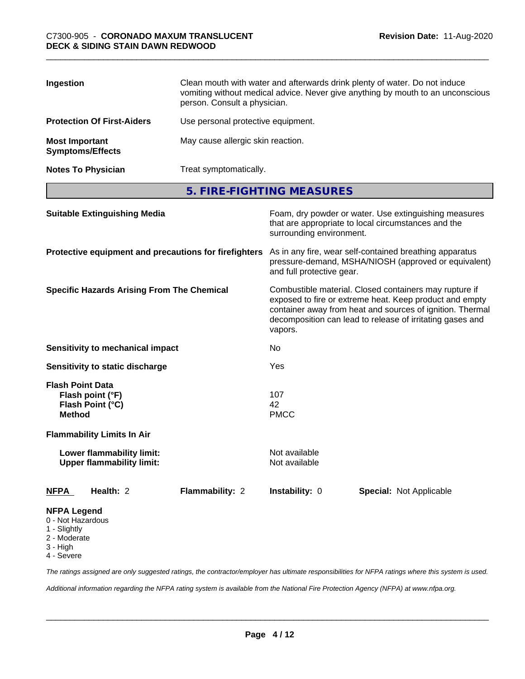| Ingestion                                        | Clean mouth with water and afterwards drink plenty of water. Do not induce<br>vomiting without medical advice. Never give anything by mouth to an unconscious<br>person. Consult a physician. |
|--------------------------------------------------|-----------------------------------------------------------------------------------------------------------------------------------------------------------------------------------------------|
| <b>Protection Of First-Aiders</b>                | Use personal protective equipment.                                                                                                                                                            |
| <b>Most Important</b><br><b>Symptoms/Effects</b> | May cause allergic skin reaction.                                                                                                                                                             |
| <b>Notes To Physician</b>                        | Treat symptomatically.                                                                                                                                                                        |

**5. FIRE-FIGHTING MEASURES**

| <b>Suitable Extinguishing Media</b><br>Protective equipment and precautions for firefighters |                 | Foam, dry powder or water. Use extinguishing measures<br>that are appropriate to local circumstances and the<br>surrounding environment.<br>As in any fire, wear self-contained breathing apparatus<br>pressure-demand, MSHA/NIOSH (approved or equivalent)<br>and full protective gear. |                                |                                                   |
|----------------------------------------------------------------------------------------------|-----------------|------------------------------------------------------------------------------------------------------------------------------------------------------------------------------------------------------------------------------------------------------------------------------------------|--------------------------------|---------------------------------------------------|
|                                                                                              |                 |                                                                                                                                                                                                                                                                                          |                                | <b>Specific Hazards Arising From The Chemical</b> |
| <b>Sensitivity to mechanical impact</b>                                                      |                 | No.                                                                                                                                                                                                                                                                                      |                                |                                                   |
| Sensitivity to static discharge                                                              |                 | Yes                                                                                                                                                                                                                                                                                      |                                |                                                   |
| <b>Flash Point Data</b><br>Flash point (°F)<br>Flash Point (°C)<br><b>Method</b>             |                 | 107<br>42<br><b>PMCC</b>                                                                                                                                                                                                                                                                 |                                |                                                   |
| <b>Flammability Limits In Air</b>                                                            |                 |                                                                                                                                                                                                                                                                                          |                                |                                                   |
| Lower flammability limit:<br><b>Upper flammability limit:</b>                                |                 | Not available<br>Not available                                                                                                                                                                                                                                                           |                                |                                                   |
| Health: 2<br><b>NFPA</b>                                                                     | Flammability: 2 | <b>Instability: 0</b>                                                                                                                                                                                                                                                                    | <b>Special: Not Applicable</b> |                                                   |
| <b>NFPA Legend</b><br>0 - Not Hazardous<br>1 - Slightly<br>2 - Moderate<br>3 - High          |                 |                                                                                                                                                                                                                                                                                          |                                |                                                   |

4 - Severe

*The ratings assigned are only suggested ratings, the contractor/employer has ultimate responsibilities for NFPA ratings where this system is used.*

*Additional information regarding the NFPA rating system is available from the National Fire Protection Agency (NFPA) at www.nfpa.org.*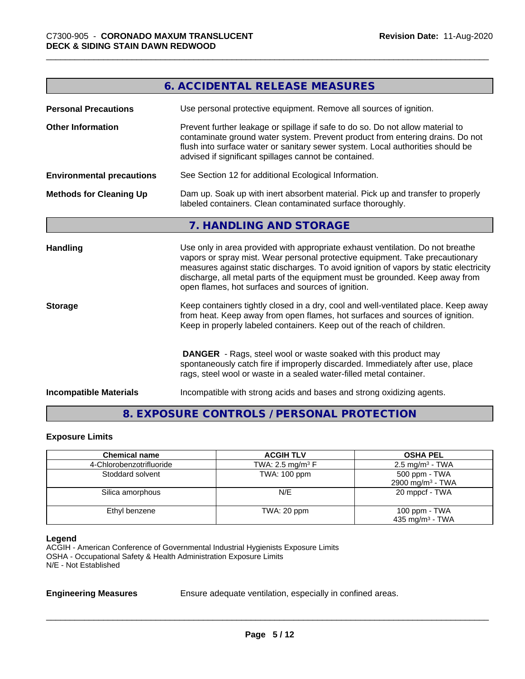|                                  | <b>6. ACCIDENTAL RELEASE MEASURES</b>                                                                                                                                                                                                                                                                                                                                                         |
|----------------------------------|-----------------------------------------------------------------------------------------------------------------------------------------------------------------------------------------------------------------------------------------------------------------------------------------------------------------------------------------------------------------------------------------------|
| <b>Personal Precautions</b>      | Use personal protective equipment. Remove all sources of ignition.                                                                                                                                                                                                                                                                                                                            |
| <b>Other Information</b>         | Prevent further leakage or spillage if safe to do so. Do not allow material to<br>contaminate ground water system. Prevent product from entering drains. Do not<br>flush into surface water or sanitary sewer system. Local authorities should be<br>advised if significant spillages cannot be contained.                                                                                    |
| <b>Environmental precautions</b> | See Section 12 for additional Ecological Information.                                                                                                                                                                                                                                                                                                                                         |
| <b>Methods for Cleaning Up</b>   | Dam up. Soak up with inert absorbent material. Pick up and transfer to properly<br>labeled containers. Clean contaminated surface thoroughly.                                                                                                                                                                                                                                                 |
|                                  | 7. HANDLING AND STORAGE                                                                                                                                                                                                                                                                                                                                                                       |
| <b>Handling</b>                  | Use only in area provided with appropriate exhaust ventilation. Do not breathe<br>vapors or spray mist. Wear personal protective equipment. Take precautionary<br>measures against static discharges. To avoid ignition of vapors by static electricity<br>discharge, all metal parts of the equipment must be grounded. Keep away from<br>open flames, hot surfaces and sources of ignition. |
| <b>Storage</b>                   | Keep containers tightly closed in a dry, cool and well-ventilated place. Keep away<br>from heat. Keep away from open flames, hot surfaces and sources of ignition.<br>Keep in properly labeled containers. Keep out of the reach of children.                                                                                                                                                 |
|                                  | <b>DANGER</b> - Rags, steel wool or waste soaked with this product may<br>spontaneously catch fire if improperly discarded. Immediately after use, place<br>rags, steel wool or waste in a sealed water-filled metal container.                                                                                                                                                               |
| <b>Incompatible Materials</b>    | Incompatible with strong acids and bases and strong oxidizing agents.                                                                                                                                                                                                                                                                                                                         |

### **8. EXPOSURE CONTROLS / PERSONAL PROTECTION**

#### **Exposure Limits**

| <b>Chemical name</b>     | <b>ACGIH TLV</b>               | <b>OSHA PEL</b>                                |
|--------------------------|--------------------------------|------------------------------------------------|
| 4-Chlorobenzotrifluoride | TWA: 2.5 mg/m <sup>3</sup> $F$ | $2.5 \text{ mg/m}^3$ - TWA                     |
| Stoddard solvent         | TWA: 100 ppm                   | 500 ppm - TWA<br>2900 mg/m <sup>3</sup> - TWA  |
| Silica amorphous         | N/E                            | 20 mppcf - TWA                                 |
| Ethyl benzene            | TWA: 20 ppm                    | 100 ppm $-$ TWA<br>435 mg/m <sup>3</sup> - TWA |

#### **Legend**

ACGIH - American Conference of Governmental Industrial Hygienists Exposure Limits OSHA - Occupational Safety & Health Administration Exposure Limits N/E - Not Established

**Engineering Measures** Ensure adequate ventilation, especially in confined areas.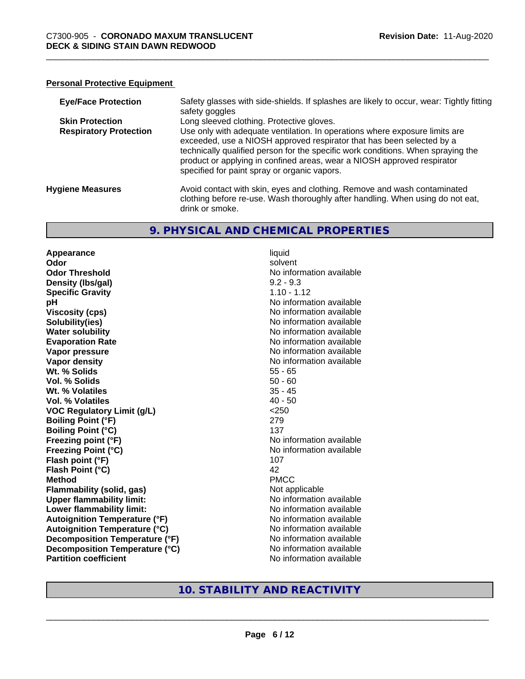#### **Personal Protective Equipment**

| <b>Eye/Face Protection</b>    | Safety glasses with side-shields. If splashes are likely to occur, wear: Tightly fitting<br>safety goggles                                                                                                                                                                                                                                                          |
|-------------------------------|---------------------------------------------------------------------------------------------------------------------------------------------------------------------------------------------------------------------------------------------------------------------------------------------------------------------------------------------------------------------|
| <b>Skin Protection</b>        | Long sleeved clothing. Protective gloves.                                                                                                                                                                                                                                                                                                                           |
| <b>Respiratory Protection</b> | Use only with adequate ventilation. In operations where exposure limits are<br>exceeded, use a NIOSH approved respirator that has been selected by a<br>technically qualified person for the specific work conditions. When spraying the<br>product or applying in confined areas, wear a NIOSH approved respirator<br>specified for paint spray or organic vapors. |
| <b>Hygiene Measures</b>       | Avoid contact with skin, eyes and clothing. Remove and wash contaminated<br>clothing before re-use. Wash thoroughly after handling. When using do not eat,<br>drink or smoke.                                                                                                                                                                                       |

#### **9. PHYSICAL AND CHEMICAL PROPERTIES**

**Appearance** liquid **Odor** solvent **Odor Threshold No information available No information available Density (lbs/gal)** 9.2 - 9.3 **Specific Gravity** 1.10 - 1.12 **pH** No information available **Viscosity (cps)** No information available Notice 1 **Solubility(ies)**<br> **Solubility**<br> **Water solubility**<br> **Water solubility Evaporation Rate No information available No information available Vapor pressure** No information available **Vapor density No information available No information available Wt. % Solids** 55 - 65 **Vol. % Solids** 50 - 60 **Wt. % Volatiles** 35 - 45 **Vol. % Volatiles** 40 - 50 **VOC Regulatory Limit (g/L)** <250 **Boiling Point (°F)** 279 **Boiling Point (°C)** 137 **Freezing point (°F)** No information available **Freezing Point (°C)** The state of the Mondo No information available **Flash point (°F)** 107 **Flash Point (°C)** 42 **Method** PMCC **Flammability (solid, gas)** Not applicable **Upper flammability limit:** No information available **Lower flammability limit:**<br> **Autoignition Temperature (°F)** No information available **Autoignition Temperature (°F)**<br> **Autoignition Temperature (°C)** 
<br> **Autoignition Temperature (°C)** 
<br> **Autoignition Temperature (°C) Autoignition Temperature (°C) Decomposition Temperature (°F)** No information available **Decomposition Temperature (°C)** No information available **Partition coefficient Community Contract Contract Contract Contract Contract Contract Contract Contract Contract Contract Contract Contract Contract Contract Contract Contract Contract Contract Contract Contract Contr** 

**No information available** 

#### **10. STABILITY AND REACTIVITY**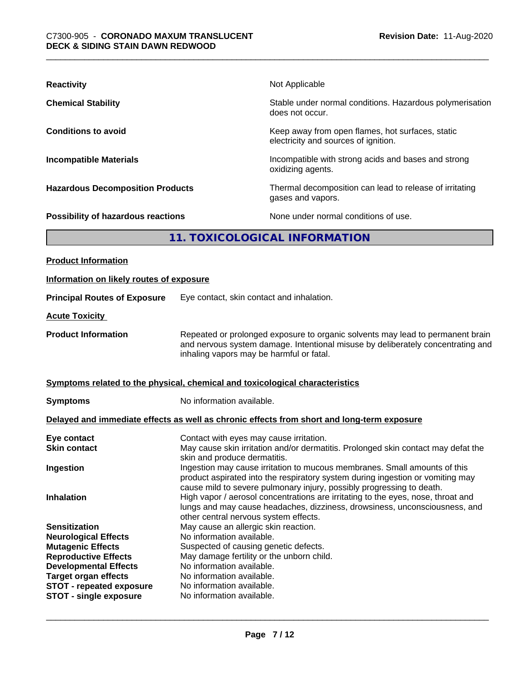| <b>Reactivity</b>                       | Not Applicable                                                                           |
|-----------------------------------------|------------------------------------------------------------------------------------------|
| <b>Chemical Stability</b>               | Stable under normal conditions. Hazardous polymerisation<br>does not occur.              |
| <b>Conditions to avoid</b>              | Keep away from open flames, hot surfaces, static<br>electricity and sources of ignition. |
| <b>Incompatible Materials</b>           | Incompatible with strong acids and bases and strong<br>oxidizing agents.                 |
| <b>Hazardous Decomposition Products</b> | Thermal decomposition can lead to release of irritating<br>gases and vapors.             |
| Possibility of hazardous reactions      | None under normal conditions of use.                                                     |
| 11. TOXICOLOGICAL INFORMATION           |                                                                                          |
|                                         |                                                                                          |

| <b>Product Information</b>                                  |                                                                                                                                                                                                                                      |
|-------------------------------------------------------------|--------------------------------------------------------------------------------------------------------------------------------------------------------------------------------------------------------------------------------------|
| Information on likely routes of exposure                    |                                                                                                                                                                                                                                      |
| <b>Principal Routes of Exposure</b>                         | Eye contact, skin contact and inhalation.                                                                                                                                                                                            |
| <b>Acute Toxicity</b>                                       |                                                                                                                                                                                                                                      |
| <b>Product Information</b>                                  | Repeated or prolonged exposure to organic solvents may lead to permanent brain<br>and nervous system damage. Intentional misuse by deliberately concentrating and<br>inhaling vapors may be harmful or fatal.                        |
|                                                             | Symptoms related to the physical, chemical and toxicological characteristics                                                                                                                                                         |
| <b>Symptoms</b>                                             | No information available.                                                                                                                                                                                                            |
|                                                             | Delayed and immediate effects as well as chronic effects from short and long-term exposure                                                                                                                                           |
| Eye contact<br><b>Skin contact</b>                          | Contact with eyes may cause irritation.<br>May cause skin irritation and/or dermatitis. Prolonged skin contact may defat the<br>skin and produce dermatitis.                                                                         |
| Ingestion                                                   | Ingestion may cause irritation to mucous membranes. Small amounts of this<br>product aspirated into the respiratory system during ingestion or vomiting may<br>cause mild to severe pulmonary injury, possibly progressing to death. |
| <b>Inhalation</b>                                           | High vapor / aerosol concentrations are irritating to the eyes, nose, throat and<br>lungs and may cause headaches, dizziness, drowsiness, unconsciousness, and<br>other central nervous system effects.                              |
| <b>Sensitization</b>                                        | May cause an allergic skin reaction.                                                                                                                                                                                                 |
| <b>Neurological Effects</b>                                 | No information available.                                                                                                                                                                                                            |
| <b>Mutagenic Effects</b>                                    | Suspected of causing genetic defects.                                                                                                                                                                                                |
| <b>Reproductive Effects</b>                                 | May damage fertility or the unborn child.<br>No information available.                                                                                                                                                               |
| <b>Developmental Effects</b><br><b>Target organ effects</b> | No information available.                                                                                                                                                                                                            |
| <b>STOT - repeated exposure</b>                             | No information available.                                                                                                                                                                                                            |
| <b>STOT - single exposure</b>                               | No information available.                                                                                                                                                                                                            |
|                                                             |                                                                                                                                                                                                                                      |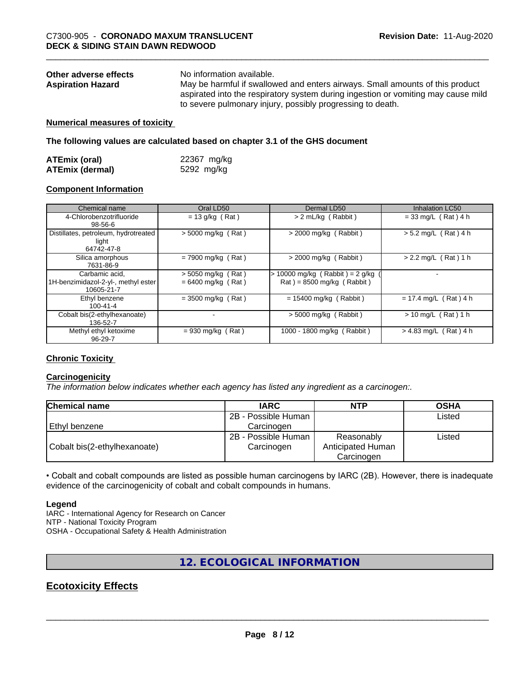| Other adverse effects    | No information available.                                                         |
|--------------------------|-----------------------------------------------------------------------------------|
| <b>Aspiration Hazard</b> | May be harmful if swallowed and enters airways. Small amounts of this product     |
|                          | aspirated into the respiratory system during ingestion or vomiting may cause mild |
|                          | to severe pulmonary injury, possibly progressing to death.                        |

#### **Numerical measures of toxicity**

**The following values are calculated based on chapter 3.1 of the GHS document**

| <b>ATEmix (oral)</b>   | 22367 mg/kg |
|------------------------|-------------|
| <b>ATEmix (dermal)</b> | 5292 mg/kg  |

#### **Component Information**

| Chemical name                                                       | Oral LD50                                    | Dermal LD50                                                      | <b>Inhalation LC50</b>  |
|---------------------------------------------------------------------|----------------------------------------------|------------------------------------------------------------------|-------------------------|
| 4-Chlorobenzotrifluoride<br>98-56-6                                 | $= 13$ g/kg (Rat)                            | > 2 mL/kg (Rabbit)                                               | $= 33$ mg/L (Rat) 4 h   |
| Distillates, petroleum, hydrotreated<br>light<br>64742-47-8         | $>$ 5000 mg/kg (Rat)                         | $>$ 2000 mg/kg (Rabbit)                                          | $> 5.2$ mg/L (Rat) 4 h  |
| Silica amorphous<br>7631-86-9                                       | $= 7900$ mg/kg (Rat)                         | $>$ 2000 mg/kg (Rabbit)                                          | $> 2.2$ mg/L (Rat) 1 h  |
| Carbamic acid,<br>1H-benzimidazol-2-yl-, methyl ester<br>10605-21-7 | $>$ 5050 mg/kg (Rat)<br>$= 6400$ mg/kg (Rat) | $> 10000$ mg/kg (Rabbit) = 2 g/kg<br>$Rat$ = 8500 mg/kg (Rabbit) |                         |
| Ethyl benzene<br>$100 - 41 - 4$                                     | $=$ 3500 mg/kg (Rat)                         | $= 15400$ mg/kg (Rabbit)                                         | $= 17.4$ mg/L (Rat) 4 h |
| Cobalt bis(2-ethylhexanoate)<br>136-52-7                            |                                              | $>$ 5000 mg/kg (Rabbit)                                          | $> 10$ mg/L (Rat) 1 h   |
| Methyl ethyl ketoxime<br>$96 - 29 - 7$                              | $= 930$ mg/kg (Rat)                          | 1000 - 1800 mg/kg (Rabbit)                                       | $> 4.83$ mg/L (Rat) 4 h |

#### **Chronic Toxicity**

#### **Carcinogenicity**

*The information below indicateswhether each agency has listed any ingredient as a carcinogen:.*

| <b>Chemical name</b>         | <b>IARC</b>         | <b>NTP</b>        | <b>OSHA</b> |
|------------------------------|---------------------|-------------------|-------------|
|                              | 2B - Possible Human |                   | Listed      |
| l Ethvl benzene              | Carcinoɑen          |                   |             |
|                              | 2B - Possible Human | Reasonably        | Listed      |
| Cobalt bis(2-ethylhexanoate) | Carcinogen          | Anticipated Human |             |
|                              |                     | Carcinogen        |             |

• Cobalt and cobalt compounds are listed as possible human carcinogens by IARC (2B). However, there is inadequate evidence of the carcinogenicity of cobalt and cobalt compounds in humans.

#### **Legend**

IARC - International Agency for Research on Cancer NTP - National Toxicity Program OSHA - Occupational Safety & Health Administration

#### **12. ECOLOGICAL INFORMATION**

### **Ecotoxicity Effects**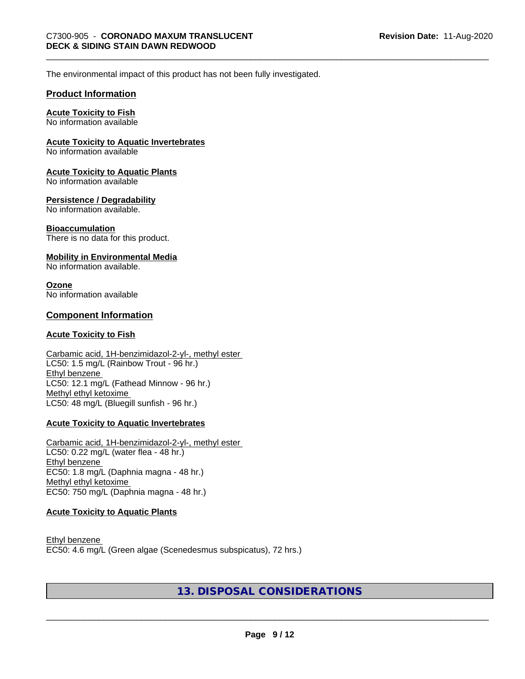The environmental impact of this product has not been fully investigated.

#### **Product Information**

#### **Acute Toxicity to Fish**

No information available

#### **Acute Toxicity to Aquatic Invertebrates**

No information available

#### **Acute Toxicity to Aquatic Plants**

No information available

#### **Persistence / Degradability**

No information available.

#### **Bioaccumulation**

There is no data for this product.

#### **Mobility in Environmental Media**

No information available.

#### **Ozone**

No information available

#### **Component Information**

#### **Acute Toxicity to Fish**

#### Carbamic acid, 1H-benzimidazol-2-yl-, methyl ester LC50: 1.5 mg/L (Rainbow Trout - 96 hr.) Ethyl benzene LC50: 12.1 mg/L (Fathead Minnow - 96 hr.) Methyl ethyl ketoxime LC50: 48 mg/L (Bluegill sunfish - 96 hr.)

#### **Acute Toxicity to Aquatic Invertebrates**

Carbamic acid, 1H-benzimidazol-2-yl-, methyl ester LC50: 0.22 mg/L (water flea - 48 hr.) Ethyl benzene EC50: 1.8 mg/L (Daphnia magna - 48 hr.) Methyl ethyl ketoxime EC50: 750 mg/L (Daphnia magna - 48 hr.)

#### **Acute Toxicity to Aquatic Plants**

Ethyl benzene EC50: 4.6 mg/L (Green algae (Scenedesmus subspicatus), 72 hrs.)

#### **13. DISPOSAL CONSIDERATIONS**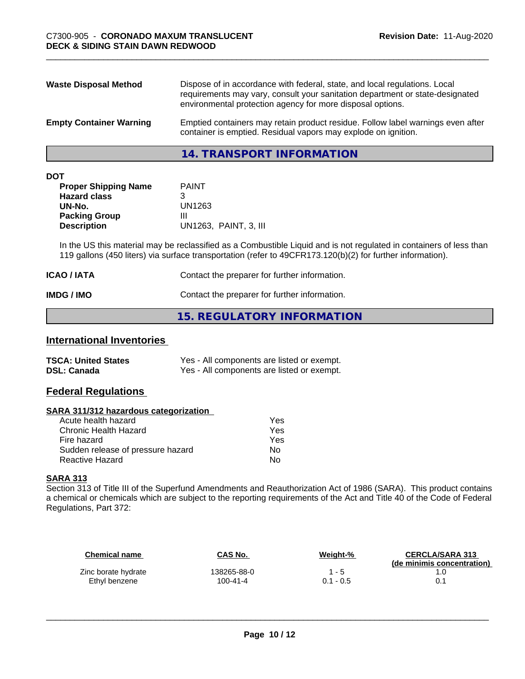| <b>Waste Disposal Method</b>   | Dispose of in accordance with federal, state, and local regulations. Local<br>requirements may vary, consult your sanitation department or state-designated<br>environmental protection agency for more disposal options. |
|--------------------------------|---------------------------------------------------------------------------------------------------------------------------------------------------------------------------------------------------------------------------|
| <b>Empty Container Warning</b> | Emptied containers may retain product residue. Follow label warnings even after<br>container is emptied. Residual vapors may explode on ignition.                                                                         |

**14. TRANSPORT INFORMATION**

| ۰. | ×<br>٠ |  |
|----|--------|--|

| <b>PAINT</b>          |
|-----------------------|
|                       |
| UN1263                |
| Ш                     |
| UN1263, PAINT, 3, III |
|                       |

In the US this material may be reclassified as a Combustible Liquid and is not regulated in containers of less than 119 gallons (450 liters) via surface transportation (refer to 49CFR173.120(b)(2) for further information).

| <b>ICAO / IATA</b> | Contact the preparer for further information. |
|--------------------|-----------------------------------------------|
| IMDG / IMO         | Contact the preparer for further information. |

#### **15. REGULATORY INFORMATION**

#### **International Inventories**

| <b>TSCA: United States</b> | Yes - All components are listed or exempt. |
|----------------------------|--------------------------------------------|
| <b>DSL: Canada</b>         | Yes - All components are listed or exempt. |

#### **Federal Regulations**

#### **SARA 311/312 hazardous categorization**

| Yes |
|-----|
| Yes |
| Yes |
| Nο  |
| N٥  |
|     |

#### **SARA 313**

Section 313 of Title III of the Superfund Amendments and Reauthorization Act of 1986 (SARA). This product contains a chemical or chemicals which are subject to the reporting requirements of the Act and Title 40 of the Code of Federal Regulations, Part 372:

| Chemical name       | CAS No.     | Weight-%    | <b>CERCLA/SARA 313</b><br>(de minimis concentration) |
|---------------------|-------------|-------------|------------------------------------------------------|
| Zinc borate hydrate | 138265-88-0 | $1 - 5$     |                                                      |
| Ethyl benzene       | 100-41-4    | $0.1 - 0.5$ |                                                      |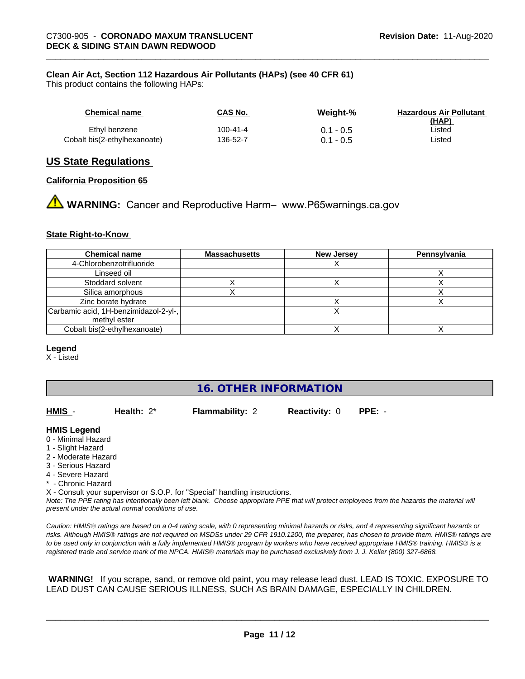#### **Clean Air Act,Section 112 Hazardous Air Pollutants (HAPs) (see 40 CFR 61)**

This product contains the following HAPs:

| Chemical name                | CAS No.  | Weiaht-%    | <b>Hazardous Air Pollutant</b><br>(HAP) |
|------------------------------|----------|-------------|-----------------------------------------|
| Ethyl benzene                | 100-41-4 | $0.1 - 0.5$ | ∟isted                                  |
| Cobalt bis(2-ethylhexanoate) | 136-52-7 | $0.1 - 0.5$ | ∟isted                                  |

#### **US State Regulations**

#### **California Proposition 65**

**AN** WARNING: Cancer and Reproductive Harm– www.P65warnings.ca.gov

#### **State Right-to-Know**

| <b>Chemical name</b>                  | <b>Massachusetts</b> | <b>New Jersey</b> | Pennsylvania |
|---------------------------------------|----------------------|-------------------|--------------|
| 4-Chlorobenzotrifluoride              |                      |                   |              |
| Linseed oil                           |                      |                   |              |
| Stoddard solvent                      |                      |                   |              |
| Silica amorphous                      |                      |                   |              |
| Zinc borate hydrate                   |                      |                   |              |
| Carbamic acid, 1H-benzimidazol-2-yl-, |                      |                   |              |
| methyl ester                          |                      |                   |              |
| Cobalt bis(2-ethylhexanoate)          |                      |                   |              |

#### **Legend**

X - Listed

#### **16. OTHER INFORMATION**

**HMIS** - **Health:** 2\* **Flammability:** 2 **Reactivity:** 0 **PPE:** -

#### **HMIS Legend**

- 0 Minimal Hazard
- 1 Slight Hazard
- 2 Moderate Hazard
- 3 Serious Hazard
- 4 Severe Hazard
- \* Chronic Hazard

X - Consult your supervisor or S.O.P. for "Special" handling instructions.

*Note: The PPE rating has intentionally been left blank. Choose appropriate PPE that will protect employees from the hazards the material will present under the actual normal conditions of use.*

*Caution: HMISÒ ratings are based on a 0-4 rating scale, with 0 representing minimal hazards or risks, and 4 representing significant hazards or risks. Although HMISÒ ratings are not required on MSDSs under 29 CFR 1910.1200, the preparer, has chosen to provide them. HMISÒ ratings are to be used only in conjunction with a fully implemented HMISÒ program by workers who have received appropriate HMISÒ training. HMISÒ is a registered trade and service mark of the NPCA. HMISÒ materials may be purchased exclusively from J. J. Keller (800) 327-6868.*

 **WARNING!** If you scrape, sand, or remove old paint, you may release lead dust. LEAD IS TOXIC. EXPOSURE TO LEAD DUST CAN CAUSE SERIOUS ILLNESS, SUCH AS BRAIN DAMAGE, ESPECIALLY IN CHILDREN.